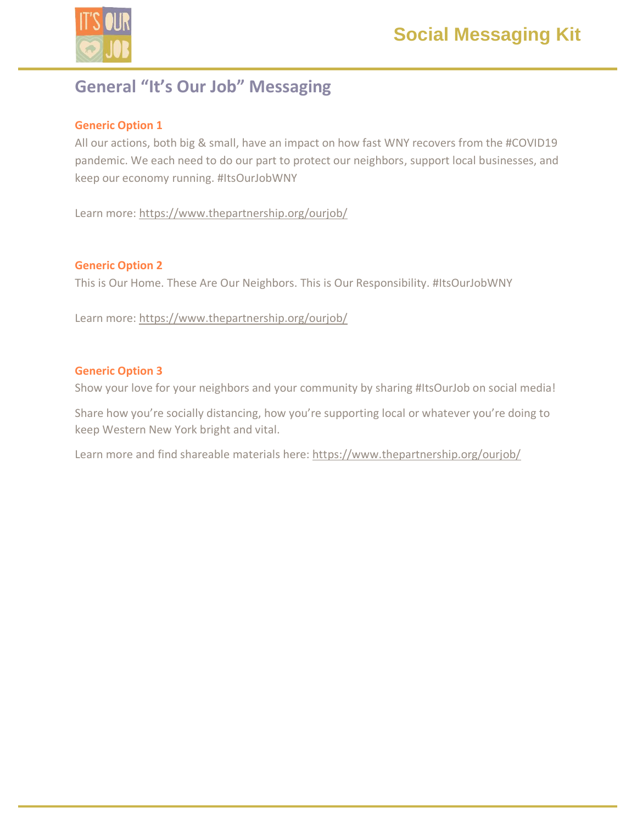



# **General "It's Our Job" Messaging**

### **Generic Option 1**

All our actions, both big & small, have an impact on how fast WNY recovers from the #COVID19 pandemic. We each need to do our part to protect our neighbors, support local businesses, and keep our economy running. #ItsOurJobWNY

Learn more: https://www.thepartnership.org/ourjob/

### **Generic Option 2**

This is Our Home. These Are Our Neighbors. This is Our Responsibility. #ItsOurJobWNY

Learn more: https://www.thepartnership.org/ourjob/

### **Generic Option 3**

Show your love for your neighbors and your community by sharing #ItsOurJob on social media!

Share how you're socially distancing, how you're supporting local or whatever you're doing to keep Western New York bright and vital.

Learn more and find shareable materials here: https://www.thepartnership.org/ourjob/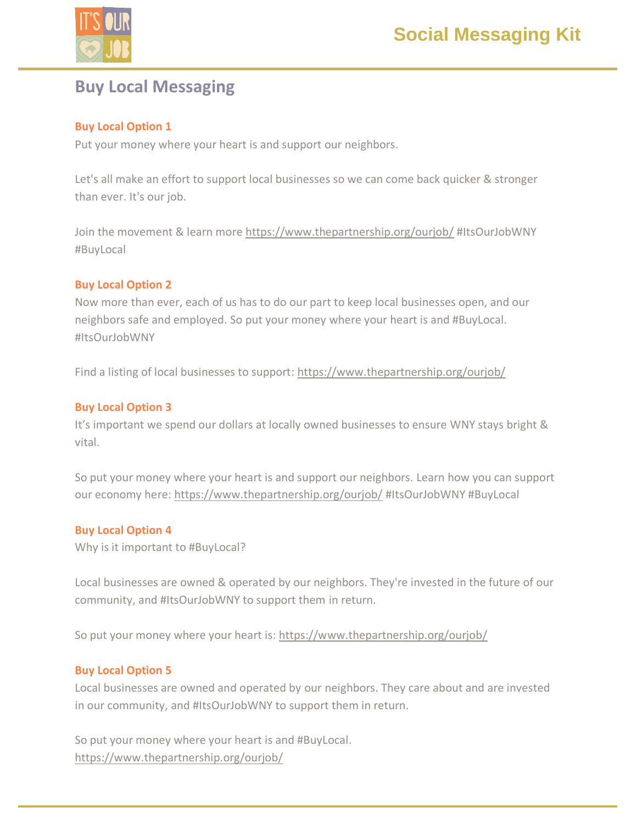

# **Buy Local Messaging**

# **Buy Local Option 1**

Put your money where your heart is and support our neighbors.

Let's all make an effort to support local businesses so we can come back quicker & stronger than ever. It's our job.

Join the movement & learn more<https://www.thepartnership.org/ourjob/> #ItsOurJobWNY #BuyLocal

## **Buy Local Option 2**

Now more than ever, each of us has to do our part to keep local businesses open, and our neighbors safe and employed. So put your money where your heart is and #BuyLocal. #ItsOurJobWNY

Find a listing of local businesses to support:<https://www.thepartnership.org/ourjob/>

# **Buy Local Option 3**

It's important we spend our dollars at locally owned businesses to ensure WNY stays bright & vital.

So put your money where your heart is and support our neighbors. Learn how you can support our economy here: <https://www.thepartnership.org/ourjob/> #ItsOurJobWNY #BuyLocal

# **Buy Local Option 4**

Why is it important to #BuyLocal?

Local businesses are owned & operated by our neighbors. They're invested in the future of our community, and #ItsOurJobWNY to support them in return.

So put your money where your heart is: https://www.thepartnership.org/ourjob/

## **Buy Local Option 5**

Local businesses are owned and operated by our neighbors. They care about and are invested in our community, and #ItsOurJobWNY to support them in return.

So put your money where your heart is and #BuyLocal. https://www.thepartnership.org/ourjob/